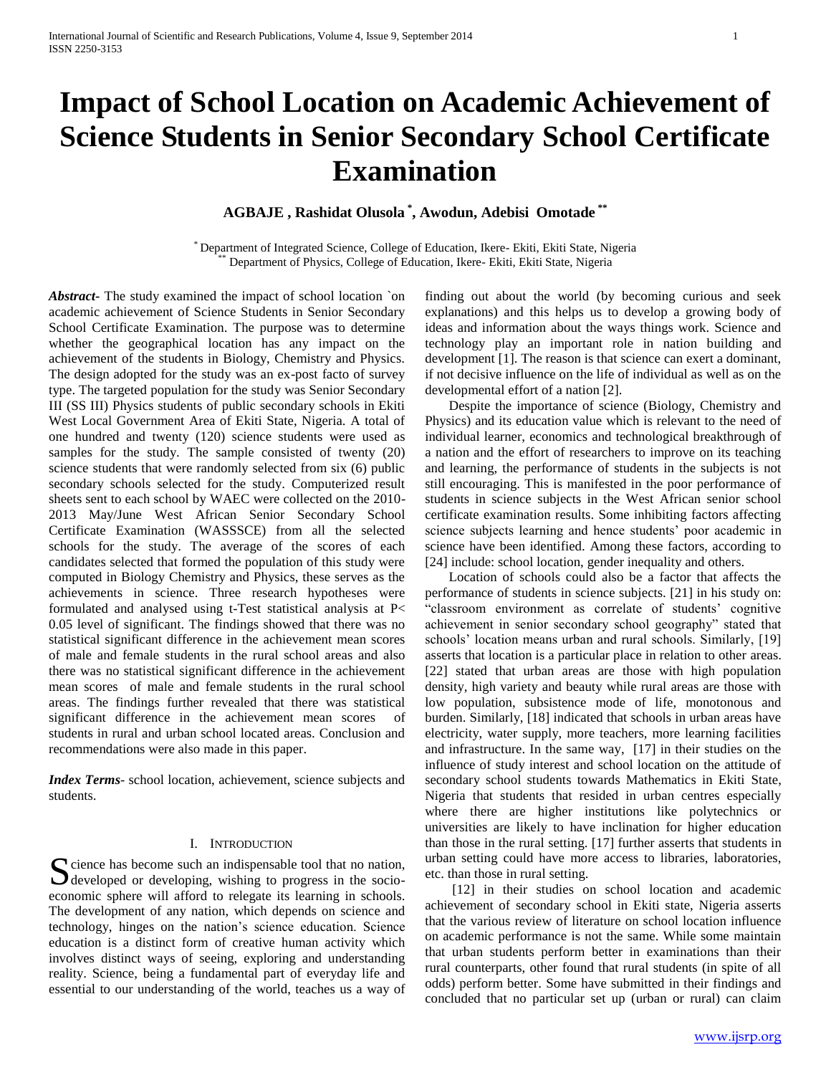# **Impact of School Location on Academic Achievement of Science Students in Senior Secondary School Certificate Examination**

**AGBAJE , Rashidat Olusola \* , Awodun, Adebisi Omotade \*\***

\* Department of Integrated Science, College of Education, Ikere- Ekiti, Ekiti State, Nigeria Department of Physics, College of Education, Ikere- Ekiti, Ekiti State, Nigeria

*Abstract***-** The study examined the impact of school location `on academic achievement of Science Students in Senior Secondary School Certificate Examination. The purpose was to determine whether the geographical location has any impact on the achievement of the students in Biology, Chemistry and Physics. The design adopted for the study was an ex-post facto of survey type. The targeted population for the study was Senior Secondary III (SS III) Physics students of public secondary schools in Ekiti West Local Government Area of Ekiti State, Nigeria. A total of one hundred and twenty (120) science students were used as samples for the study. The sample consisted of twenty (20) science students that were randomly selected from six (6) public secondary schools selected for the study. Computerized result sheets sent to each school by WAEC were collected on the 2010- 2013 May/June West African Senior Secondary School Certificate Examination (WASSSCE) from all the selected schools for the study. The average of the scores of each candidates selected that formed the population of this study were computed in Biology Chemistry and Physics, these serves as the achievements in science. Three research hypotheses were formulated and analysed using t-Test statistical analysis at P< 0.05 level of significant. The findings showed that there was no statistical significant difference in the achievement mean scores of male and female students in the rural school areas and also there was no statistical significant difference in the achievement mean scores of male and female students in the rural school areas. The findings further revealed that there was statistical significant difference in the achievement mean scores of students in rural and urban school located areas. Conclusion and recommendations were also made in this paper.

*Index Terms*- school location, achievement, science subjects and students.

## I. INTRODUCTION

cience has become such an indispensable tool that no nation, Socience has become such an indispensable tool that no nation,<br>developed or developing, wishing to progress in the socioeconomic sphere will afford to relegate its learning in schools. The development of any nation, which depends on science and technology, hinges on the nation's science education. Science education is a distinct form of creative human activity which involves distinct ways of seeing, exploring and understanding reality. Science, being a fundamental part of everyday life and essential to our understanding of the world, teaches us a way of

finding out about the world (by becoming curious and seek explanations) and this helps us to develop a growing body of ideas and information about the ways things work. Science and technology play an important role in nation building and development [1]. The reason is that science can exert a dominant, if not decisive influence on the life of individual as well as on the developmental effort of a nation [2].

 Despite the importance of science (Biology, Chemistry and Physics) and its education value which is relevant to the need of individual learner, economics and technological breakthrough of a nation and the effort of researchers to improve on its teaching and learning, the performance of students in the subjects is not still encouraging. This is manifested in the poor performance of students in science subjects in the West African senior school certificate examination results. Some inhibiting factors affecting science subjects learning and hence students' poor academic in science have been identified. Among these factors, according to [24] include: school location, gender inequality and others.

 Location of schools could also be a factor that affects the performance of students in science subjects. [21] in his study on: "classroom environment as correlate of students' cognitive achievement in senior secondary school geography" stated that schools' location means urban and rural schools. Similarly, [19] asserts that location is a particular place in relation to other areas. [22] stated that urban areas are those with high population density, high variety and beauty while rural areas are those with low population, subsistence mode of life, monotonous and burden. Similarly, [18] indicated that schools in urban areas have electricity, water supply, more teachers, more learning facilities and infrastructure. In the same way, [17] in their studies on the influence of study interest and school location on the attitude of secondary school students towards Mathematics in Ekiti State, Nigeria that students that resided in urban centres especially where there are higher institutions like polytechnics or universities are likely to have inclination for higher education than those in the rural setting. [17] further asserts that students in urban setting could have more access to libraries, laboratories, etc. than those in rural setting.

 [12] in their studies on school location and academic achievement of secondary school in Ekiti state, Nigeria asserts that the various review of literature on school location influence on academic performance is not the same. While some maintain that urban students perform better in examinations than their rural counterparts, other found that rural students (in spite of all odds) perform better. Some have submitted in their findings and concluded that no particular set up (urban or rural) can claim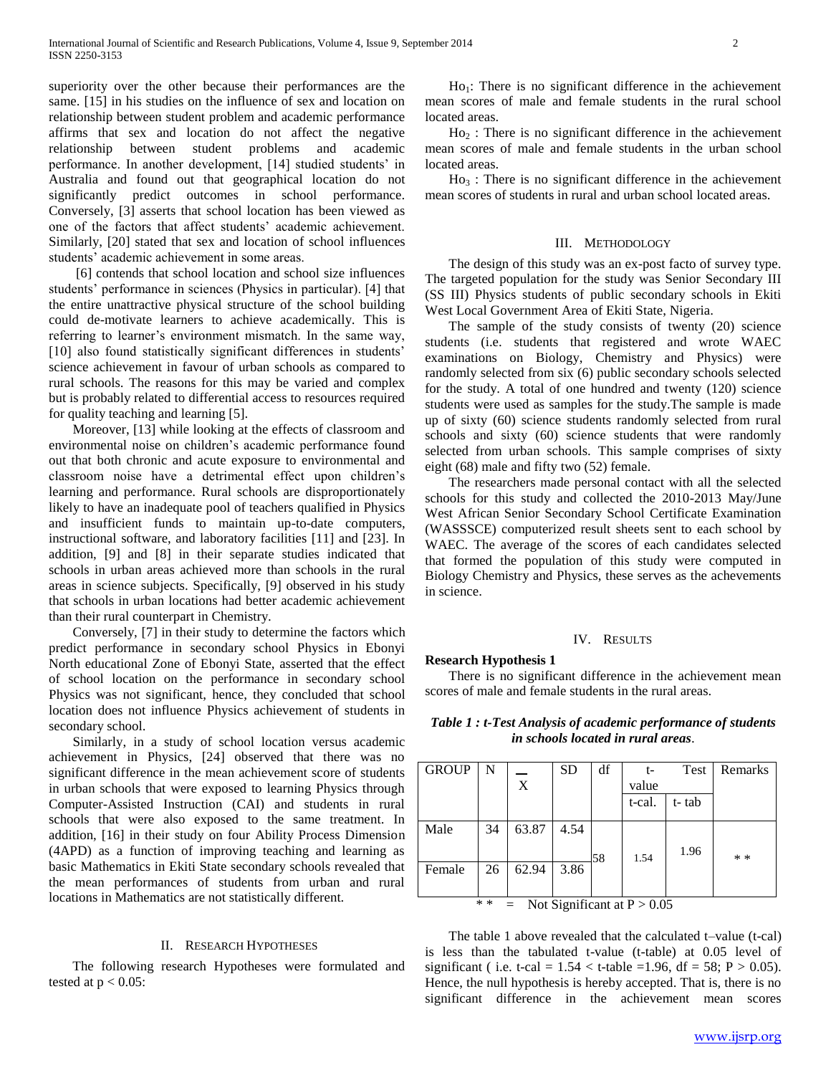superiority over the other because their performances are the same. [15] in his studies on the influence of sex and location on relationship between student problem and academic performance affirms that sex and location do not affect the negative relationship between student problems and academic performance. In another development, [14] studied students' in Australia and found out that geographical location do not significantly predict outcomes in school performance. Conversely, [3] asserts that school location has been viewed as one of the factors that affect students' academic achievement. Similarly, [20] stated that sex and location of school influences students' academic achievement in some areas.

 [6] contends that school location and school size influences students' performance in sciences (Physics in particular). [4] that the entire unattractive physical structure of the school building could de-motivate learners to achieve academically. This is referring to learner's environment mismatch. In the same way, [10] also found statistically significant differences in students' science achievement in favour of urban schools as compared to rural schools. The reasons for this may be varied and complex but is probably related to differential access to resources required for quality teaching and learning [5].

 Moreover, [13] while looking at the effects of classroom and environmental noise on children's academic performance found out that both chronic and acute exposure to environmental and classroom noise have a detrimental effect upon children's learning and performance. Rural schools are disproportionately likely to have an inadequate pool of teachers qualified in Physics and insufficient funds to maintain up-to-date computers, instructional software, and laboratory facilities [11] and [23]. In addition, [9] and [8] in their separate studies indicated that schools in urban areas achieved more than schools in the rural areas in science subjects. Specifically, [9] observed in his study that schools in urban locations had better academic achievement than their rural counterpart in Chemistry.

 Conversely, [7] in their study to determine the factors which predict performance in secondary school Physics in Ebonyi North educational Zone of Ebonyi State, asserted that the effect of school location on the performance in secondary school Physics was not significant, hence, they concluded that school location does not influence Physics achievement of students in secondary school.

 Similarly, in a study of school location versus academic achievement in Physics, [24] observed that there was no significant difference in the mean achievement score of students in urban schools that were exposed to learning Physics through Computer-Assisted Instruction (CAI) and students in rural schools that were also exposed to the same treatment. In addition, [16] in their study on four Ability Process Dimension (4APD) as a function of improving teaching and learning as basic Mathematics in Ekiti State secondary schools revealed that the mean performances of students from urban and rural locations in Mathematics are not statistically different.

## II. RESEARCH HYPOTHESES

 The following research Hypotheses were formulated and tested at  $p < 0.05$ :

 $Ho<sub>1</sub>$ : There is no significant difference in the achievement mean scores of male and female students in the rural school located areas.

 $Ho<sub>2</sub>$ : There is no significant difference in the achievement mean scores of male and female students in the urban school located areas.

 $Ho_3$ : There is no significant difference in the achievement mean scores of students in rural and urban school located areas.

### III. METHODOLOGY

 The design of this study was an ex-post facto of survey type. The targeted population for the study was Senior Secondary III (SS III) Physics students of public secondary schools in Ekiti West Local Government Area of Ekiti State, Nigeria.

 The sample of the study consists of twenty (20) science students (i.e. students that registered and wrote WAEC examinations on Biology, Chemistry and Physics) were randomly selected from six (6) public secondary schools selected for the study. A total of one hundred and twenty (120) science students were used as samples for the study.The sample is made up of sixty (60) science students randomly selected from rural schools and sixty (60) science students that were randomly selected from urban schools. This sample comprises of sixty eight (68) male and fifty two (52) female.

 The researchers made personal contact with all the selected schools for this study and collected the 2010-2013 May/June West African Senior Secondary School Certificate Examination (WASSSCE) computerized result sheets sent to each school by WAEC. The average of the scores of each candidates selected that formed the population of this study were computed in Biology Chemistry and Physics, these serves as the achevements in science.

#### IV. RESULTS

 There is no significant difference in the achievement mean scores of male and female students in the rural areas.

**Research Hypothesis 1**

## *Table 1 : t-Test Analysis of academic performance of students in schools located in rural areas*.

| <b>GROUP</b> | N  |           | <b>SD</b> | df |        | Test  | Remarks |
|--------------|----|-----------|-----------|----|--------|-------|---------|
|              |    | $\bar{X}$ |           |    | value  |       |         |
|              |    |           |           |    | t-cal. | t-tab |         |
|              |    |           |           |    |        |       |         |
| Male         | 34 | 63.87     | 4.54      |    |        |       |         |
|              |    |           |           | 58 | 1.54   | 1.96  | * *     |
| Female       | 26 | 62.94     | 3.86      |    |        |       |         |
|              |    |           |           |    |        |       |         |

\* \* = Not Significant at  $P > 0.05$ 

 The table 1 above revealed that the calculated t–value (t-cal) is less than the tabulated t-value (t-table) at 0.05 level of significant ( i.e. t-cal =  $1.54 <$  t-table =1.96, df = 58; P > 0.05). Hence, the null hypothesis is hereby accepted. That is, there is no significant difference in the achievement mean scores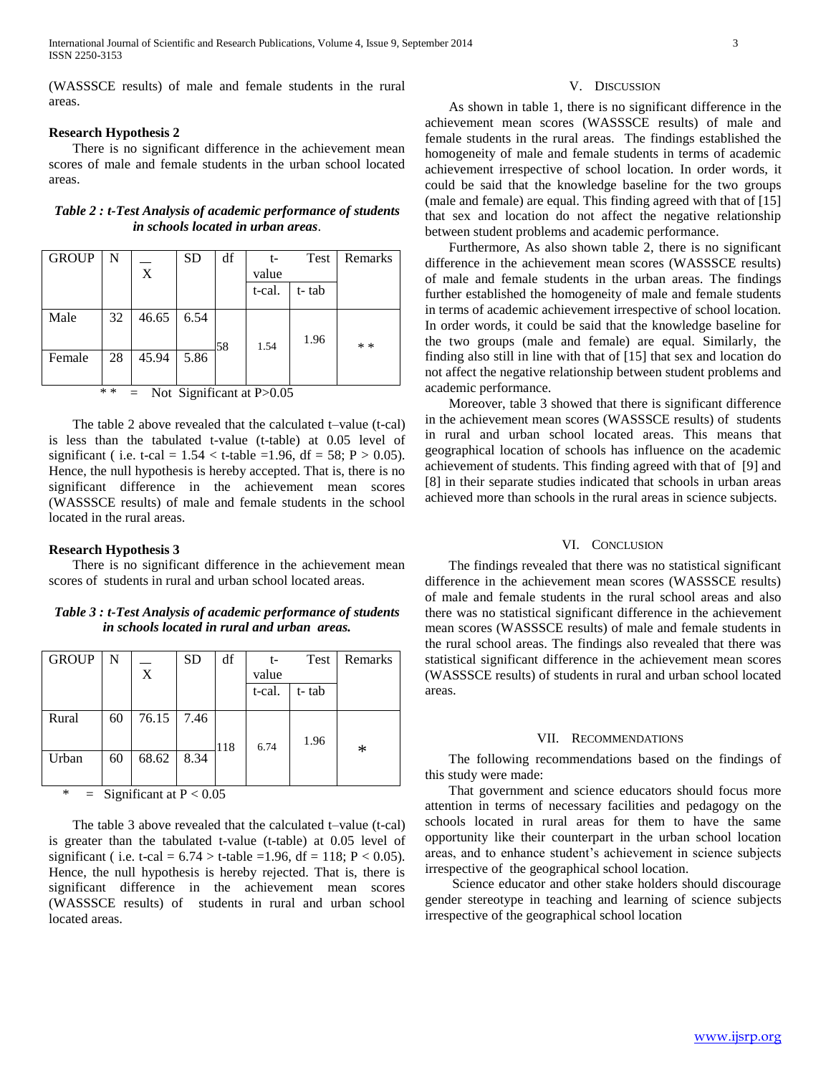(WASSSCE results) of male and female students in the rural areas.

## **Research Hypothesis 2**

 There is no significant difference in the achievement mean scores of male and female students in the urban school located areas.

| Table 2 : t-Test Analysis of academic performance of students |
|---------------------------------------------------------------|
| <i>in schools located in urban areas.</i>                     |

| <b>GROUP</b>                              | N  |             | <b>SD</b> | df | t-     | Test  | Remarks |
|-------------------------------------------|----|-------------|-----------|----|--------|-------|---------|
|                                           |    | $\mathbf X$ |           |    | value  |       |         |
|                                           |    |             |           |    | t-cal. | t-tab |         |
| Male                                      | 32 | 46.65       | 6.54      |    |        |       |         |
|                                           |    |             |           |    |        |       |         |
|                                           |    |             |           | 58 | 1.54   | 1.96  | $* *$   |
| Female                                    | 28 | 45.94       | 5.86      |    |        |       |         |
|                                           |    |             |           |    |        |       |         |
| $* *$<br>$=$ Not Significant at P $>0.05$ |    |             |           |    |        |       |         |

 The table 2 above revealed that the calculated t–value (t-cal) is less than the tabulated t-value (t-table) at 0.05 level of significant ( i.e. t-cal =  $1.54 <$  t-table =1.96, df = 58; P > 0.05). Hence, the null hypothesis is hereby accepted. That is, there is no significant difference in the achievement mean scores (WASSSCE results) of male and female students in the school located in the rural areas.

## **Research Hypothesis 3**

 There is no significant difference in the achievement mean scores of students in rural and urban school located areas.

*Table 3 : t-Test Analysis of academic performance of students in schools located in rural and urban areas.*

| <b>GROUP</b> | N  |       | <b>SD</b> | df  | t-     | Test  | Remarks |
|--------------|----|-------|-----------|-----|--------|-------|---------|
|              |    | X     |           |     | value  |       |         |
|              |    |       |           |     | t-cal. | t-tab |         |
| Rural        | 60 | 76.15 | 7.46      |     |        |       |         |
|              |    |       |           | 118 | 6.74   | 1.96  | ∗       |
| Urban        | 60 | 68.62 | 8.34      |     |        |       |         |
|              |    |       |           |     |        |       |         |

#### $=$  Significant at P < 0.05

 The table 3 above revealed that the calculated t–value (t-cal) is greater than the tabulated t-value (t-table) at 0.05 level of significant ( i.e. t-cal =  $6.74 >$  t-table =1.96, df = 118; P < 0.05). Hence, the null hypothesis is hereby rejected. That is, there is significant difference in the achievement mean scores (WASSSCE results) of students in rural and urban school located areas.

#### V. DISCUSSION

 As shown in table 1, there is no significant difference in the achievement mean scores (WASSSCE results) of male and female students in the rural areas. The findings established the homogeneity of male and female students in terms of academic achievement irrespective of school location. In order words, it could be said that the knowledge baseline for the two groups (male and female) are equal. This finding agreed with that of [15] that sex and location do not affect the negative relationship between student problems and academic performance.

 Furthermore, As also shown table 2, there is no significant difference in the achievement mean scores (WASSSCE results) of male and female students in the urban areas. The findings further established the homogeneity of male and female students in terms of academic achievement irrespective of school location. In order words, it could be said that the knowledge baseline for the two groups (male and female) are equal. Similarly, the finding also still in line with that of [15] that sex and location do not affect the negative relationship between student problems and academic performance.

 Moreover, table 3 showed that there is significant difference in the achievement mean scores (WASSSCE results) of students in rural and urban school located areas. This means that geographical location of schools has influence on the academic achievement of students. This finding agreed with that of [9] and [8] in their separate studies indicated that schools in urban areas achieved more than schools in the rural areas in science subjects.

## VI. CONCLUSION

 The findings revealed that there was no statistical significant difference in the achievement mean scores (WASSSCE results) of male and female students in the rural school areas and also there was no statistical significant difference in the achievement mean scores (WASSSCE results) of male and female students in the rural school areas. The findings also revealed that there was statistical significant difference in the achievement mean scores (WASSSCE results) of students in rural and urban school located areas.

#### VII. RECOMMENDATIONS

 The following recommendations based on the findings of this study were made:

 That government and science educators should focus more attention in terms of necessary facilities and pedagogy on the schools located in rural areas for them to have the same opportunity like their counterpart in the urban school location areas, and to enhance student's achievement in science subjects irrespective of the geographical school location.

 Science educator and other stake holders should discourage gender stereotype in teaching and learning of science subjects irrespective of the geographical school location